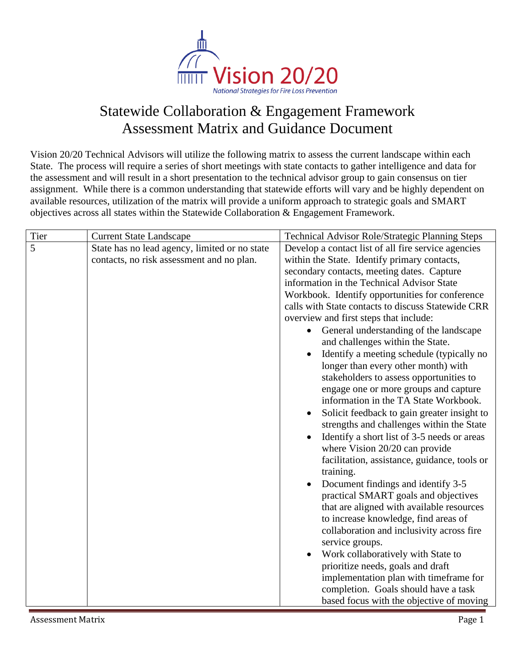

## Statewide Collaboration & Engagement Framework Assessment Matrix and Guidance Document

Vision 20/20 Technical Advisors will utilize the following matrix to assess the current landscape within each State. The process will require a series of short meetings with state contacts to gather intelligence and data for the assessment and will result in a short presentation to the technical advisor group to gain consensus on tier assignment. While there is a common understanding that statewide efforts will vary and be highly dependent on available resources, utilization of the matrix will provide a uniform approach to strategic goals and SMART objectives across all states within the Statewide Collaboration & Engagement Framework.

| Tier | <b>Current State Landscape</b>                                                             | <b>Technical Advisor Role/Strategic Planning Steps</b>                                                                                                                                                                                                                                                                                                                                                                                                                                                                                                                                                                                                                                                                                                                                                                                                                                                                                                                                                                                                                                                                                                                                                                 |
|------|--------------------------------------------------------------------------------------------|------------------------------------------------------------------------------------------------------------------------------------------------------------------------------------------------------------------------------------------------------------------------------------------------------------------------------------------------------------------------------------------------------------------------------------------------------------------------------------------------------------------------------------------------------------------------------------------------------------------------------------------------------------------------------------------------------------------------------------------------------------------------------------------------------------------------------------------------------------------------------------------------------------------------------------------------------------------------------------------------------------------------------------------------------------------------------------------------------------------------------------------------------------------------------------------------------------------------|
| 5    | State has no lead agency, limited or no state<br>contacts, no risk assessment and no plan. | Develop a contact list of all fire service agencies<br>within the State. Identify primary contacts,<br>secondary contacts, meeting dates. Capture<br>information in the Technical Advisor State<br>Workbook. Identify opportunities for conference<br>calls with State contacts to discuss Statewide CRR<br>overview and first steps that include:<br>General understanding of the landscape<br>and challenges within the State.<br>Identify a meeting schedule (typically no<br>longer than every other month) with<br>stakeholders to assess opportunities to<br>engage one or more groups and capture<br>information in the TA State Workbook.<br>Solicit feedback to gain greater insight to<br>strengths and challenges within the State<br>Identify a short list of 3-5 needs or areas<br>where Vision 20/20 can provide<br>facilitation, assistance, guidance, tools or<br>training.<br>Document findings and identify 3-5<br>$\bullet$<br>practical SMART goals and objectives<br>that are aligned with available resources<br>to increase knowledge, find areas of<br>collaboration and inclusivity across fire<br>service groups.<br>Work collaboratively with State to<br>prioritize needs, goals and draft |
|      |                                                                                            | implementation plan with timeframe for<br>completion. Goals should have a task                                                                                                                                                                                                                                                                                                                                                                                                                                                                                                                                                                                                                                                                                                                                                                                                                                                                                                                                                                                                                                                                                                                                         |
|      |                                                                                            | based focus with the objective of moving                                                                                                                                                                                                                                                                                                                                                                                                                                                                                                                                                                                                                                                                                                                                                                                                                                                                                                                                                                                                                                                                                                                                                                               |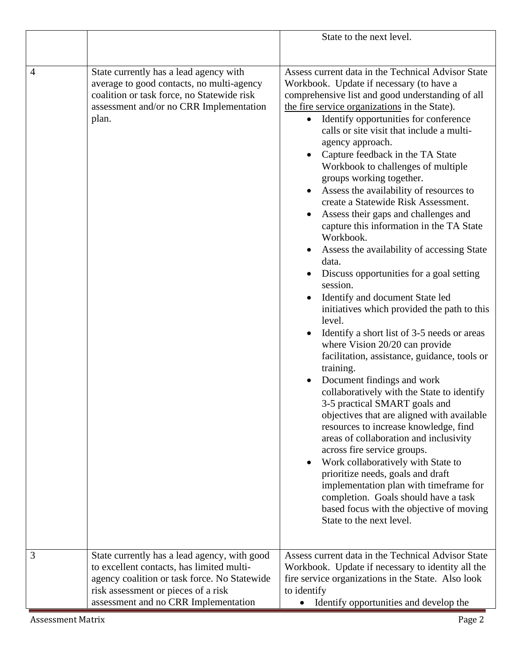|                |                                                                                                                                                                                                                          | State to the next level.                                                                                                                                                                                                                                                                                                                                                                                                                                                                                                                                                                                                                                                                                                                                                                                                      |
|----------------|--------------------------------------------------------------------------------------------------------------------------------------------------------------------------------------------------------------------------|-------------------------------------------------------------------------------------------------------------------------------------------------------------------------------------------------------------------------------------------------------------------------------------------------------------------------------------------------------------------------------------------------------------------------------------------------------------------------------------------------------------------------------------------------------------------------------------------------------------------------------------------------------------------------------------------------------------------------------------------------------------------------------------------------------------------------------|
| $\overline{4}$ | State currently has a lead agency with<br>average to good contacts, no multi-agency<br>coalition or task force, no Statewide risk<br>assessment and/or no CRR Implementation<br>plan.                                    | Assess current data in the Technical Advisor State<br>Workbook. Update if necessary (to have a<br>comprehensive list and good understanding of all<br>the fire service organizations in the State).<br>Identify opportunities for conference<br>calls or site visit that include a multi-<br>agency approach.<br>Capture feedback in the TA State<br>Workbook to challenges of multiple<br>groups working together.<br>Assess the availability of resources to<br>create a Statewide Risk Assessment.<br>Assess their gaps and challenges and<br>capture this information in the TA State<br>Workbook.<br>Assess the availability of accessing State<br>data.                                                                                                                                                                 |
|                |                                                                                                                                                                                                                          | Discuss opportunities for a goal setting<br>session.<br>Identify and document State led<br>initiatives which provided the path to this<br>level.<br>Identify a short list of 3-5 needs or areas<br>$\bullet$<br>where Vision 20/20 can provide<br>facilitation, assistance, guidance, tools or<br>training.<br>Document findings and work<br>collaboratively with the State to identify<br>3-5 practical SMART goals and<br>objectives that are aligned with available<br>resources to increase knowledge, find<br>areas of collaboration and inclusivity<br>across fire service groups.<br>Work collaboratively with State to<br>prioritize needs, goals and draft<br>implementation plan with timeframe for<br>completion. Goals should have a task<br>based focus with the objective of moving<br>State to the next level. |
| 3              | State currently has a lead agency, with good<br>to excellent contacts, has limited multi-<br>agency coalition or task force. No Statewide<br>risk assessment or pieces of a risk<br>assessment and no CRR Implementation | Assess current data in the Technical Advisor State<br>Workbook. Update if necessary to identity all the<br>fire service organizations in the State. Also look<br>to identify<br>Identify opportunities and develop the                                                                                                                                                                                                                                                                                                                                                                                                                                                                                                                                                                                                        |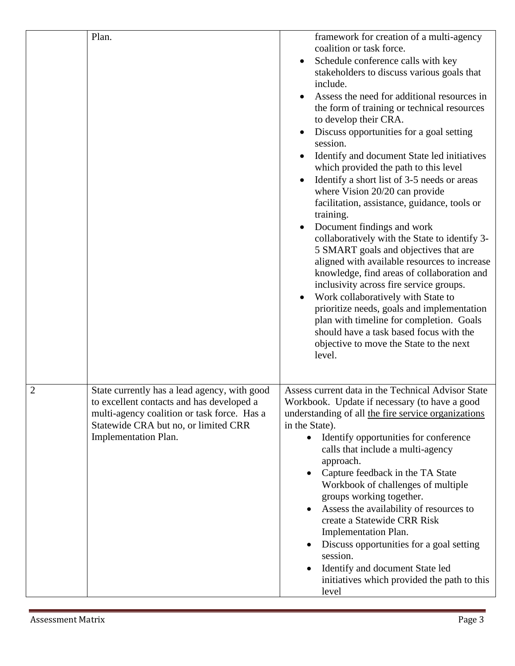|                | Plan.                                                                                                                                                                                                    | framework for creation of a multi-agency<br>coalition or task force.<br>Schedule conference calls with key<br>stakeholders to discuss various goals that<br>include.<br>Assess the need for additional resources in<br>the form of training or technical resources<br>to develop their CRA.<br>Discuss opportunities for a goal setting<br>session.<br>Identify and document State led initiatives<br>which provided the path to this level<br>Identify a short list of 3-5 needs or areas<br>where Vision 20/20 can provide<br>facilitation, assistance, guidance, tools or<br>training.<br>Document findings and work<br>collaboratively with the State to identify 3-<br>5 SMART goals and objectives that are<br>aligned with available resources to increase<br>knowledge, find areas of collaboration and<br>inclusivity across fire service groups.<br>Work collaboratively with State to<br>prioritize needs, goals and implementation<br>plan with timeline for completion. Goals<br>should have a task based focus with the<br>objective to move the State to the next<br>level. |
|----------------|----------------------------------------------------------------------------------------------------------------------------------------------------------------------------------------------------------|--------------------------------------------------------------------------------------------------------------------------------------------------------------------------------------------------------------------------------------------------------------------------------------------------------------------------------------------------------------------------------------------------------------------------------------------------------------------------------------------------------------------------------------------------------------------------------------------------------------------------------------------------------------------------------------------------------------------------------------------------------------------------------------------------------------------------------------------------------------------------------------------------------------------------------------------------------------------------------------------------------------------------------------------------------------------------------------------|
| $\overline{2}$ | State currently has a lead agency, with good<br>to excellent contacts and has developed a<br>multi-agency coalition or task force. Has a<br>Statewide CRA but no, or limited CRR<br>Implementation Plan. | Assess current data in the Technical Advisor State<br>Workbook. Update if necessary (to have a good<br>understanding of all the fire service organizations<br>in the State).<br>Identify opportunities for conference<br>calls that include a multi-agency<br>approach.<br>Capture feedback in the TA State<br>Workbook of challenges of multiple<br>groups working together.<br>Assess the availability of resources to<br>create a Statewide CRR Risk<br>Implementation Plan.<br>Discuss opportunities for a goal setting<br>session.<br>Identify and document State led<br>initiatives which provided the path to this<br>level                                                                                                                                                                                                                                                                                                                                                                                                                                                         |